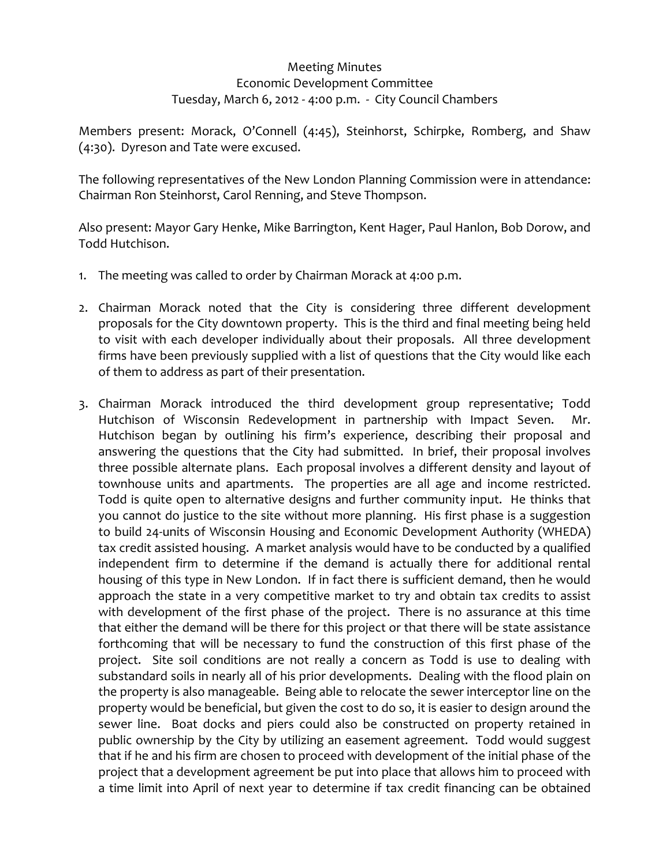## Meeting Minutes Economic Development Committee Tuesday, March 6, 2012 ‐ 4:00 p.m. ‐ City Council Chambers

Members present: Morack, O'Connell (4:45), Steinhorst, Schirpke, Romberg, and Shaw (4:30). Dyreson and Tate were excused.

The following representatives of the New London Planning Commission were in attendance: Chairman Ron Steinhorst, Carol Renning, and Steve Thompson.

Also present: Mayor Gary Henke, Mike Barrington, Kent Hager, Paul Hanlon, Bob Dorow, and Todd Hutchison.

- 1. The meeting was called to order by Chairman Morack at 4:00 p.m.
- 2. Chairman Morack noted that the City is considering three different development proposals for the City downtown property. This is the third and final meeting being held to visit with each developer individually about their proposals. All three development firms have been previously supplied with a list of questions that the City would like each of them to address as part of their presentation.
- 3. Chairman Morack introduced the third development group representative; Todd Hutchison of Wisconsin Redevelopment in partnership with Impact Seven. Mr. Hutchison began by outlining his firm's experience, describing their proposal and answering the questions that the City had submitted. In brief, their proposal involves three possible alternate plans. Each proposal involves a different density and layout of townhouse units and apartments. The properties are all age and income restricted. Todd is quite open to alternative designs and further community input. He thinks that you cannot do justice to the site without more planning. His first phase is a suggestion to build 24‐units of Wisconsin Housing and Economic Development Authority (WHEDA) tax credit assisted housing. A market analysis would have to be conducted by a qualified independent firm to determine if the demand is actually there for additional rental housing of this type in New London. If in fact there is sufficient demand, then he would approach the state in a very competitive market to try and obtain tax credits to assist with development of the first phase of the project. There is no assurance at this time that either the demand will be there for this project or that there will be state assistance forthcoming that will be necessary to fund the construction of this first phase of the project. Site soil conditions are not really a concern as Todd is use to dealing with substandard soils in nearly all of his prior developments. Dealing with the flood plain on the property is also manageable. Being able to relocate the sewer interceptor line on the property would be beneficial, but given the cost to do so, it is easier to design around the sewer line. Boat docks and piers could also be constructed on property retained in public ownership by the City by utilizing an easement agreement. Todd would suggest that if he and his firm are chosen to proceed with development of the initial phase of the project that a development agreement be put into place that allows him to proceed with a time limit into April of next year to determine if tax credit financing can be obtained